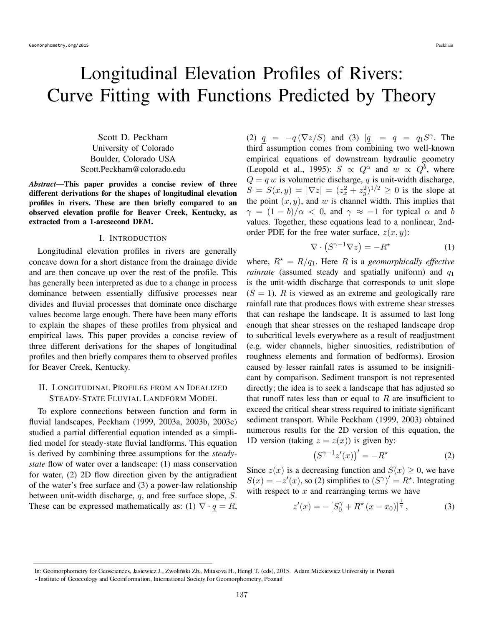# Longitudinal Elevation Profiles of Rivers: Curve Fitting with Functions Predicted by Theory

Scott D. Peckham University of Colorado Boulder, Colorado USA Scott.Peckham@colorado.edu

*Abstract*—This paper provides a concise review of three different derivations for the shapes of longitudinal elevation profiles in rivers. These are then briefly compared to an observed elevation profile for Beaver Creek, Kentucky, as extracted from a 1-arcsecond DEM.

### I. INTRODUCTION

Longitudinal elevation profiles in rivers are generally concave down for a short distance from the drainage divide and are then concave up over the rest of the profile. This has generally been interpreted as due to a change in process dominance between essentially diffusive processes near divides and fluvial processes that dominate once discharge values become large enough. There have been many efforts to explain the shapes of these profiles from physical and empirical laws. This paper provides a concise review of three different derivations for the shapes of longitudinal profiles and then briefly compares them to observed profiles for Beaver Creek, Kentucky.

## II. LONGITUDINAL PROFILES FROM AN IDEALIZED STEADY-STATE FLUVIAL LANDFORM MODEL

To explore connections between function and form in fluvial landscapes, Peckham (1999, 2003a, 2003b, 2003c) studied a partial differential equation intended as a simplified model for steady-state fluvial landforms. This equation is derived by combining three assumptions for the *steadystate* flow of water over a landscape: (1) mass conservation for water, (2) 2D flow direction given by the antigradient of the water's free surface and (3) a power-law relationship between unit-width discharge, q, and free surface slope, S. These can be expressed mathematically as: (1)  $\nabla \cdot q = R$ ,

(2)  $q = -q(\nabla z/S)$  and (3)  $|q| = q = q_1S^{\gamma}$ . The third assumption comes from combining two well-known empirical equations of downstream hydraulic geometry (Leopold et al., 1995):  $S \propto Q^{\alpha}$  and  $w \propto Q^b$ , where  $Q = q w$  is volumetric discharge, q is unit-width discharge,  $S = S(x, y) = |\nabla z| = (z_x^2 + z_y^2)^{1/2} \ge 0$  is the slope at the point  $(x, y)$ , and w is channel width. This implies that  $\gamma = (1 - b)/\alpha < 0$ , and  $\gamma \approx -1$  for typical  $\alpha$  and b values. Together, these equations lead to a nonlinear, 2ndorder PDE for the free water surface,  $z(x, y)$ :

$$
\nabla \cdot \left( S^{\gamma - 1} \nabla z \right) = -R^{\star} \tag{1}
$$

where,  $R^* = R/q_1$ . Here R is a *geomorphically effective rainrate* (assumed steady and spatially uniform) and  $q_1$ is the unit-width discharge that corresponds to unit slope  $(S = 1)$ . R is viewed as an extreme and geologically rare rainfall rate that produces flows with extreme shear stresses that can reshape the landscape. It is assumed to last long enough that shear stresses on the reshaped landscape drop to subcritical levels everywhere as a result of readjustment (e.g. wider channels, higher sinuosities, redistribution of roughness elements and formation of bedforms). Erosion caused by lesser rainfall rates is assumed to be insignificant by comparison. Sediment transport is not represented directly; the idea is to seek a landscape that has adjusted so that runoff rates less than or equal to  $R$  are insufficient to exceed the critical shear stress required to initiate significant sediment transport. While Peckham (1999, 2003) obtained numerous results for the 2D version of this equation, the 1D version (taking  $z = z(x)$ ) is given by:

$$
\left(S^{\gamma - 1} z'(x)\right)' = -R^\star \tag{2}
$$

Since  $z(x)$  is a decreasing function and  $S(x) \geq 0$ , we have  $S(x) = -z'(x)$ , so (2) simplifies to  $(S^{\gamma})' = R^*$ . Integrating with respect to  $x$  and rearranging terms we have

$$
z'(x) = -[S_0^{\gamma} + R^{\star}(x - x_0)]^{\frac{1}{\gamma}}, \tag{3}
$$

In: Geomorphometry for Geosciences, Jasiewicz J., Zwoliński Zb., Mitasova H., Hengl T. (eds), 2015. Adam Mickiewicz University in Poznań

<sup>-</sup> Institute of Geoecology and Geoinformation, International Society for Geomorphometry, Poznań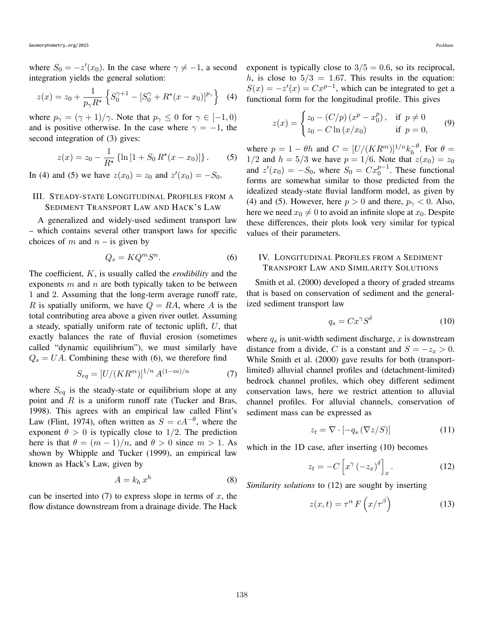where  $S_0 = -z'(x_0)$ . In the case where  $\gamma \neq -1$ , a second integration yields the general solution:

$$
z(x) = z_0 + \frac{1}{p_\gamma R^\star} \left\{ S_0^{\gamma+1} - [S_0^\gamma + R^\star(x - x_0)]^{p_\gamma} \right\}
$$
 (4)

where  $p_{\gamma} = (\gamma + 1)/\gamma$ . Note that  $p_{\gamma} \leq 0$  for  $\gamma \in [-1, 0)$ and is positive otherwise. In the case where  $\gamma = -1$ , the second integration of (3) gives:

$$
z(x) = z_0 - \frac{1}{R^*} \left\{ \ln \left[ 1 + S_0 R^*(x - x_0) \right] \right\}.
$$
 (5)

In (4) and (5) we have  $z(x_0) = z_0$  and  $z'(x_0) = -S_0$ .

## III. STEADY-STATE LONGITUDINAL PROFILES FROM A SEDIMENT TRANSPORT LAW AND HACK'S LAW

A generalized and widely-used sediment transport law – which contains several other transport laws for specific choices of m and  $n -$  is given by

$$
Q_s = K Q^m S^n. \tag{6}
$$

The coefficient, K, is usually called the *erodibility* and the exponents  $m$  and  $n$  are both typically taken to be between 1 and 2. Assuming that the long-term average runoff rate, R is spatially uniform, we have  $Q = RA$ , where A is the total contributing area above a given river outlet. Assuming a steady, spatially uniform rate of tectonic uplift,  $U$ , that exactly balances the rate of fluvial erosion (sometimes called "dynamic equilibrium"), we must similarly have  $Q_s = UA$ . Combining these with (6), we therefore find

$$
S_{eq} = [U/(KR^m)]^{1/n} A^{(1-m)/n}
$$
 (7)

where  $S_{eq}$  is the steady-state or equilibrium slope at any point and  $R$  is a uniform runoff rate (Tucker and Bras, 1998). This agrees with an empirical law called Flint's Law (Flint, 1974), often written as  $S = cA^{-\theta}$ , where the exponent  $\theta > 0$  is typically close to 1/2. The prediction here is that  $\theta = (m-1)/n$ , and  $\theta > 0$  since  $m > 1$ . As shown by Whipple and Tucker (1999), an empirical law known as Hack's Law, given by

$$
A = k_h x^h \tag{8}
$$

can be inserted into  $(7)$  to express slope in terms of x, the flow distance downstream from a drainage divide. The Hack exponent is typically close to  $3/5 = 0.6$ , so its reciprocal, h, is close to  $5/3 = 1.67$ . This results in the equation:  $S(x) = -z'(x) = Cx^{p-1}$ , which can be integrated to get a functional form for the longitudinal profile. This gives

$$
z(x) = \begin{cases} z_0 - (C/p) (x^p - x_0^p), & \text{if } p \neq 0 \\ z_0 - C \ln (x/x_0) & \text{if } p = 0, \end{cases}
$$
 (9)

where  $p = 1 - \theta h$  and  $C = [U/(KR^m)]^{1/n} k_h^{-\theta}$ . For  $\theta =$ 1/2 and  $h = 5/3$  we have  $p = 1/6$ . Note that  $z(x_0) = z_0$ and  $z'(x_0) = -S_0$ , where  $S_0 = Cx_0^{p-1}$ . These functional forms are somewhat similar to those predicted from the idealized steady-state fluvial landform model, as given by (4) and (5). However, here  $p > 0$  and there,  $p_{\gamma} < 0$ . Also, here we need  $x_0 \neq 0$  to avoid an infinite slope at  $x_0$ . Despite these differences, their plots look very similar for typical values of their parameters.

## IV. LONGITUDINAL PROFILES FROM A SEDIMENT TRANSPORT LAW AND SIMILARITY SOLUTIONS

Smith et al. (2000) developed a theory of graded streams that is based on conservation of sediment and the generalized sediment transport law

$$
q_s = Cx^\gamma S^\delta \tag{10}
$$

where  $q_s$  is unit-width sediment discharge, x is downstream distance from a divide, C is a constant and  $S = -z_x > 0$ . While Smith et al. (2000) gave results for both (transportlimited) alluvial channel profiles and (detachment-limited) bedrock channel profiles, which obey different sediment conservation laws, here we restrict attention to alluvial channel profiles. For alluvial channels, conservation of sediment mass can be expressed as

$$
z_t = \nabla \cdot \left[ -q_s \left( \nabla z / S \right) \right] \tag{11}
$$

which in the 1D case, after inserting  $(10)$  becomes

$$
z_t = -C\left[x^{\gamma} \left(-z_x\right)^{\delta}\right]_x. \tag{12}
$$

*Similarity solutions* to (12) are sought by inserting

$$
z(x,t) = \tau^{\alpha} F\left(x/\tau^{\beta}\right)
$$
 (13)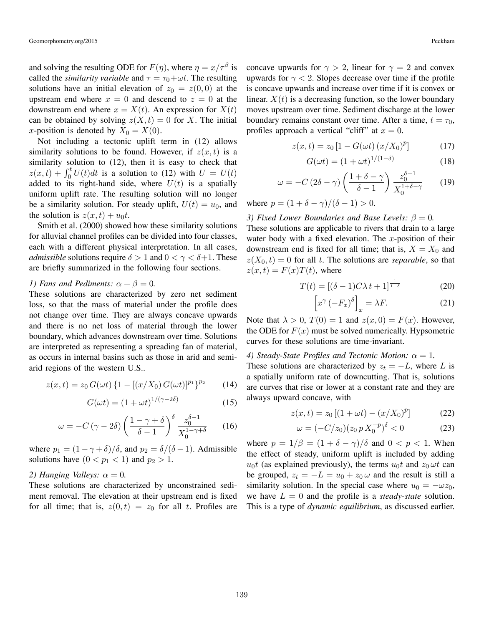and solving the resulting ODE for  $F(\eta)$ , where  $\eta = x/\tau^{\beta}$  is called the *similarity variable* and  $\tau = \tau_0 + \omega t$ . The resulting solutions have an initial elevation of  $z_0 = z(0, 0)$  at the upstream end where  $x = 0$  and descend to  $z = 0$  at the downstream end where  $x = X(t)$ . An expression for  $X(t)$ can be obtained by solving  $z(X,t) = 0$  for X. The initial x-position is denoted by  $X_0 = X(0)$ .

Not including a tectonic uplift term in (12) allows similarity solutions to be found. However, if  $z(x, t)$  is a similarity solution to (12), then it is easy to check that  $z(x,t) + \int_0^t U(t)dt$  is a solution to (12) with  $U = U(t)$ added to its right-hand side, where  $U(t)$  is a spatially uniform uplift rate. The resulting solution will no longer be a similarity solution. For steady uplift,  $U(t) = u_0$ , and the solution is  $z(x,t) + u_0t$ .

Smith et al. (2000) showed how these similarity solutions for alluvial channel profiles can be divided into four classes, each with a different physical interpretation. In all cases, *admissible* solutions require  $\delta > 1$  and  $0 < \gamma < \delta + 1$ . These are briefly summarized in the following four sections.

## *1) Fans and Pediments:*  $\alpha + \beta = 0$ *.*

These solutions are characterized by zero net sediment loss, so that the mass of material under the profile does not change over time. They are always concave upwards and there is no net loss of material through the lower boundary, which advances downstream over time. Solutions are interpreted as representing a spreading fan of material, as occurs in internal basins such as those in arid and semiarid regions of the western U.S..

$$
z(x,t) = z_0 G(\omega t) \left\{ 1 - \left[ (x/X_0) G(\omega t) \right]^{p_1} \right\}^{p_2} \tag{14}
$$

$$
G(\omega t) = (1 + \omega t)^{1/(\gamma - 2\delta)}
$$
\n(15)

$$
\omega = -C(\gamma - 2\delta) \left(\frac{1 - \gamma + \delta}{\delta - 1}\right)^{\delta} \frac{z_0^{\delta - 1}}{X_0^{1 - \gamma + \delta}} \qquad (16)
$$

where  $p_1 = (1 - \gamma + \delta)/\delta$ , and  $p_2 = \delta/(\delta - 1)$ . Admissible solutions have  $(0 < p_1 < 1)$  and  $p_2 > 1$ .

### *2) Hanging Valleys:*  $\alpha = 0$ *.*

These solutions are characterized by unconstrained sediment removal. The elevation at their upstream end is fixed for all time; that is,  $z(0,t) = z_0$  for all t. Profiles are

concave upwards for  $\gamma > 2$ , linear for  $\gamma = 2$  and convex upwards for  $\gamma < 2$ . Slopes decrease over time if the profile is concave upwards and increase over time if it is convex or linear.  $X(t)$  is a decreasing function, so the lower boundary moves upstream over time. Sediment discharge at the lower boundary remains constant over time. After a time,  $t = \tau_0$ , profiles approach a vertical "cliff" at  $x = 0$ .

$$
z(x,t) = z_0 [1 - G(\omega t) (x/X_0)^p]
$$
 (17)

$$
G(\omega t) = (1 + \omega t)^{1/(1 - \delta)}
$$
\n(18)

$$
\omega = -C(2\delta - \gamma) \left( \frac{1 + \delta - \gamma}{\delta - 1} \right) \frac{z_0^{\delta - 1}}{X_0^{1 + \delta - \gamma}} \tag{19}
$$

where  $p = (1 + \delta - \gamma)/(\delta - 1) > 0$ .

*3) Fixed Lower Boundaries and Base Levels:*  $\beta = 0$ .

These solutions are applicable to rivers that drain to a large water body with a fixed elevation. The  $x$ -position of their downstream end is fixed for all time; that is,  $X = X_0$  and  $z(X_0,t) = 0$  for all t. The solutions are *separable*, so that  $z(x,t) = F(x)T(t)$ , where

$$
T(t) = [(\delta - 1)C\lambda t + 1]^{\frac{1}{1 - \delta}} \tag{20}
$$

$$
\[x^{\gamma}(-F_x)^{\delta}\]_x = \lambda F. \tag{21}
$$

Note that  $\lambda > 0$ ,  $T(0) = 1$  and  $z(x, 0) = F(x)$ . However, the ODE for  $F(x)$  must be solved numerically. Hypsometric curves for these solutions are time-invariant.

### *4) Steady-State Profiles and Tectonic Motion:*  $\alpha = 1$ *.*

These solutions are characterized by  $z_t = -L$ , where L is a spatially uniform rate of downcutting. That is, solutions are curves that rise or lower at a constant rate and they are always upward concave, with

$$
z(x,t) = z_0 [(1 + \omega t) - (x/X_0)^p]
$$
 (22)

$$
\omega = (-C/z_0)(z_0 p X_0^{-p})^{\delta} < 0 \tag{23}
$$

where  $p = 1/\beta = (1 + \delta - \gamma)/\delta$  and  $0 < p < 1$ . When the effect of steady, uniform uplift is included by adding  $u_0t$  (as explained previously), the terms  $u_0t$  and  $z_0 \omega t$  can be grouped,  $z_t = -L = u_0 + z_0 \omega$  and the result is still a similarity solution. In the special case where  $u_0 = -\omega z_0$ , we have  $L = 0$  and the profile is a *steady-state* solution. This is a type of *dynamic equilibrium*, as discussed earlier.